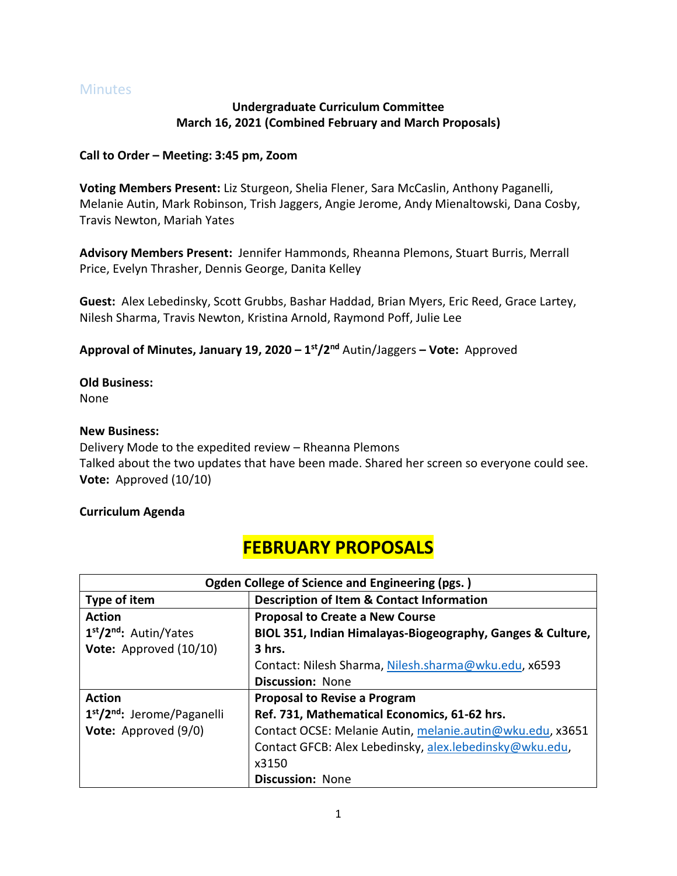### Minutes

### **Undergraduate Curriculum Committee March 16, 2021 (Combined February and March Proposals)**

### **Call to Order – Meeting: 3:45 pm, Zoom**

**Voting Members Present:** Liz Sturgeon, Shelia Flener, Sara McCaslin, Anthony Paganelli, Melanie Autin, Mark Robinson, Trish Jaggers, Angie Jerome, Andy Mienaltowski, Dana Cosby, Travis Newton, Mariah Yates

**Advisory Members Present:** Jennifer Hammonds, Rheanna Plemons, Stuart Burris, Merrall Price, Evelyn Thrasher, Dennis George, Danita Kelley

**Guest:** Alex Lebedinsky, Scott Grubbs, Bashar Haddad, Brian Myers, Eric Reed, Grace Lartey, Nilesh Sharma, Travis Newton, Kristina Arnold, Raymond Poff, Julie Lee

**Approval of Minutes, January 19, 2020 – 1 st/2nd** Autin/Jaggers **– Vote:** Approved

**Old Business:**

None

### **New Business:**

Delivery Mode to the expedited review – Rheanna Plemons Talked about the two updates that have been made. Shared her screen so everyone could see. **Vote:** Approved (10/10)

### **Curriculum Agenda**

## **FEBRUARY PROPOSALS**

| Ogden College of Science and Engineering (pgs.)     |                                                            |
|-----------------------------------------------------|------------------------------------------------------------|
| Type of item                                        | <b>Description of Item &amp; Contact Information</b>       |
| <b>Action</b>                                       | <b>Proposal to Create a New Course</b>                     |
| 1 <sup>st</sup> /2 <sup>nd</sup> : Autin/Yates      | BIOL 351, Indian Himalayas-Biogeography, Ganges & Culture, |
| Vote: Approved (10/10)                              | $3$ hrs.                                                   |
|                                                     | Contact: Nilesh Sharma, Nilesh.sharma@wku.edu, x6593       |
|                                                     | <b>Discussion: None</b>                                    |
| <b>Action</b>                                       | <b>Proposal to Revise a Program</b>                        |
| 1 <sup>st</sup> /2 <sup>nd</sup> : Jerome/Paganelli | Ref. 731, Mathematical Economics, 61-62 hrs.               |
| Vote: Approved (9/0)                                | Contact OCSE: Melanie Autin, melanie.autin@wku.edu, x3651  |
|                                                     | Contact GFCB: Alex Lebedinsky, alex.lebedinsky@wku.edu,    |
|                                                     | x3150                                                      |
|                                                     | <b>Discussion: None</b>                                    |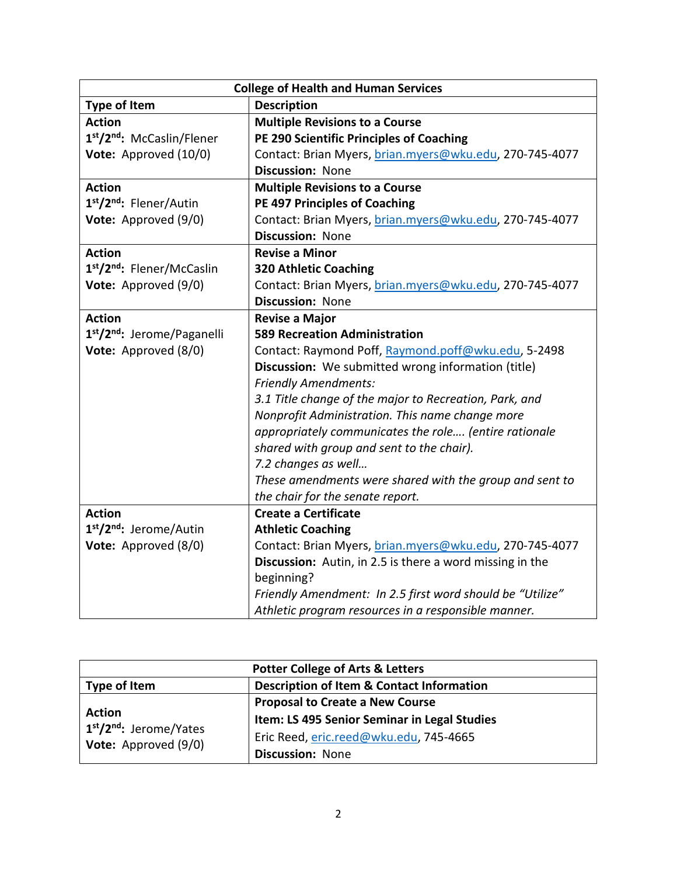| <b>College of Health and Human Services</b>         |                                                           |
|-----------------------------------------------------|-----------------------------------------------------------|
| <b>Type of Item</b>                                 | <b>Description</b>                                        |
| <b>Action</b>                                       | <b>Multiple Revisions to a Course</b>                     |
| 1st/2nd: McCaslin/Flener                            | PE 290 Scientific Principles of Coaching                  |
| Vote: Approved (10/0)                               | Contact: Brian Myers, brian.myers@wku.edu, 270-745-4077   |
|                                                     | <b>Discussion: None</b>                                   |
| <b>Action</b>                                       | <b>Multiple Revisions to a Course</b>                     |
| 1 <sup>st</sup> /2 <sup>nd</sup> : Flener/Autin     | <b>PE 497 Principles of Coaching</b>                      |
| Vote: Approved (9/0)                                | Contact: Brian Myers, brian.myers@wku.edu, 270-745-4077   |
|                                                     | <b>Discussion: None</b>                                   |
| <b>Action</b>                                       | <b>Revise a Minor</b>                                     |
| 1st/2nd: Flener/McCaslin                            | <b>320 Athletic Coaching</b>                              |
| Vote: Approved (9/0)                                | Contact: Brian Myers, brian.myers@wku.edu, 270-745-4077   |
|                                                     | Discussion: None                                          |
| <b>Action</b>                                       | <b>Revise a Major</b>                                     |
| 1 <sup>st</sup> /2 <sup>nd</sup> : Jerome/Paganelli | <b>589 Recreation Administration</b>                      |
| Vote: Approved (8/0)                                | Contact: Raymond Poff, Raymond.poff@wku.edu, 5-2498       |
|                                                     | Discussion: We submitted wrong information (title)        |
|                                                     | <b>Friendly Amendments:</b>                               |
|                                                     | 3.1 Title change of the major to Recreation, Park, and    |
|                                                     | Nonprofit Administration. This name change more           |
|                                                     | appropriately communicates the role (entire rationale     |
|                                                     | shared with group and sent to the chair).                 |
|                                                     | 7.2 changes as well                                       |
|                                                     | These amendments were shared with the group and sent to   |
|                                                     | the chair for the senate report.                          |
| <b>Action</b>                                       | <b>Create a Certificate</b>                               |
| 1st/2nd: Jerome/Autin                               | <b>Athletic Coaching</b>                                  |
| Vote: Approved (8/0)                                | Contact: Brian Myers, brian.myers@wku.edu, 270-745-4077   |
|                                                     | Discussion: Autin, in 2.5 is there a word missing in the  |
|                                                     | beginning?                                                |
|                                                     | Friendly Amendment: In 2.5 first word should be "Utilize" |
|                                                     | Athletic program resources in a responsible manner.       |

| <b>Potter College of Arts &amp; Letters</b>                                                       |                                                      |
|---------------------------------------------------------------------------------------------------|------------------------------------------------------|
| Type of Item                                                                                      | <b>Description of Item &amp; Contact Information</b> |
| <b>Action</b><br>1 <sup>st</sup> /2 <sup>nd</sup> : Jerome/Yates<br><b>Vote:</b> Approved $(9/0)$ | <b>Proposal to Create a New Course</b>               |
|                                                                                                   | Item: LS 495 Senior Seminar in Legal Studies         |
|                                                                                                   | Eric Reed, eric.reed@wku.edu, 745-4665               |
|                                                                                                   | <b>Discussion: None</b>                              |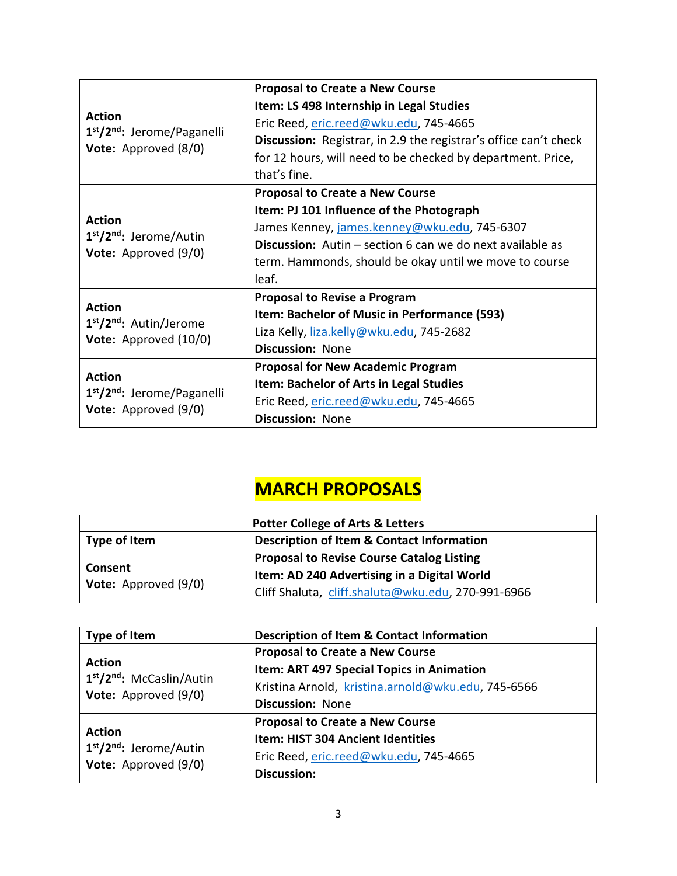| <b>Action</b><br>1 <sup>st</sup> /2 <sup>nd</sup> : Jerome/Paganelli                            | <b>Proposal to Create a New Course</b>                                  |
|-------------------------------------------------------------------------------------------------|-------------------------------------------------------------------------|
|                                                                                                 | Item: LS 498 Internship in Legal Studies                                |
|                                                                                                 | Eric Reed, eric.reed@wku.edu, 745-4665                                  |
|                                                                                                 | <b>Discussion:</b> Registrar, in 2.9 the registrar's office can't check |
| <b>Vote:</b> Approved (8/0)                                                                     | for 12 hours, will need to be checked by department. Price,             |
|                                                                                                 | that's fine.                                                            |
| <b>Action</b><br>1 <sup>st</sup> /2 <sup>nd</sup> : Jerome/Autin<br><b>Vote:</b> Approved (9/0) | <b>Proposal to Create a New Course</b>                                  |
|                                                                                                 | Item: PJ 101 Influence of the Photograph                                |
|                                                                                                 | James Kenney, james.kenney@wku.edu, 745-6307                            |
|                                                                                                 | <b>Discussion:</b> Autin – section 6 can we do next available as        |
|                                                                                                 | term. Hammonds, should be okay until we move to course                  |
|                                                                                                 | leaf.                                                                   |
|                                                                                                 | <b>Proposal to Revise a Program</b>                                     |
| <b>Action</b><br>1 <sup>st</sup> /2 <sup>nd</sup> : Autin/Jerome<br>Vote: Approved (10/0)       | Item: Bachelor of Music in Performance (593)                            |
|                                                                                                 | Liza Kelly, liza.kelly@wku.edu, 745-2682                                |
|                                                                                                 | <b>Discussion: None</b>                                                 |
| <b>Action</b><br>1 <sup>st</sup> /2 <sup>nd</sup> : Jerome/Paganelli<br>Vote: Approved (9/0)    | <b>Proposal for New Academic Program</b>                                |
|                                                                                                 | Item: Bachelor of Arts in Legal Studies                                 |
|                                                                                                 | Eric Reed, eric.reed@wku.edu, 745-4665                                  |
|                                                                                                 | <b>Discussion: None</b>                                                 |

# **MARCH PROPOSALS**

| <b>Potter College of Arts &amp; Letters</b>     |                                                      |
|-------------------------------------------------|------------------------------------------------------|
| Type of Item                                    | <b>Description of Item &amp; Contact Information</b> |
| <b>Consent</b><br><b>Vote:</b> Approved $(9/0)$ | <b>Proposal to Revise Course Catalog Listing</b>     |
|                                                 | Item: AD 240 Advertising in a Digital World          |
|                                                 | Cliff Shaluta, cliff.shaluta@wku.edu, 270-991-6966   |

| Type of Item                                                                               | <b>Description of Item &amp; Contact Information</b> |
|--------------------------------------------------------------------------------------------|------------------------------------------------------|
| <b>Action</b><br>1 <sup>st</sup> /2 <sup>nd</sup> : McCaslin/Autin<br>Vote: Approved (9/0) | <b>Proposal to Create a New Course</b>               |
|                                                                                            | Item: ART 497 Special Topics in Animation            |
|                                                                                            | Kristina Arnold, kristina.arnold@wku.edu, 745-6566   |
|                                                                                            | <b>Discussion: None</b>                              |
| <b>Action</b><br>1 <sup>st</sup> /2 <sup>nd</sup> : Jerome/Autin<br>Vote: Approved (9/0)   | <b>Proposal to Create a New Course</b>               |
|                                                                                            | <b>Item: HIST 304 Ancient Identities</b>             |
|                                                                                            | Eric Reed, eric.reed@wku.edu, 745-4665               |
|                                                                                            | <b>Discussion:</b>                                   |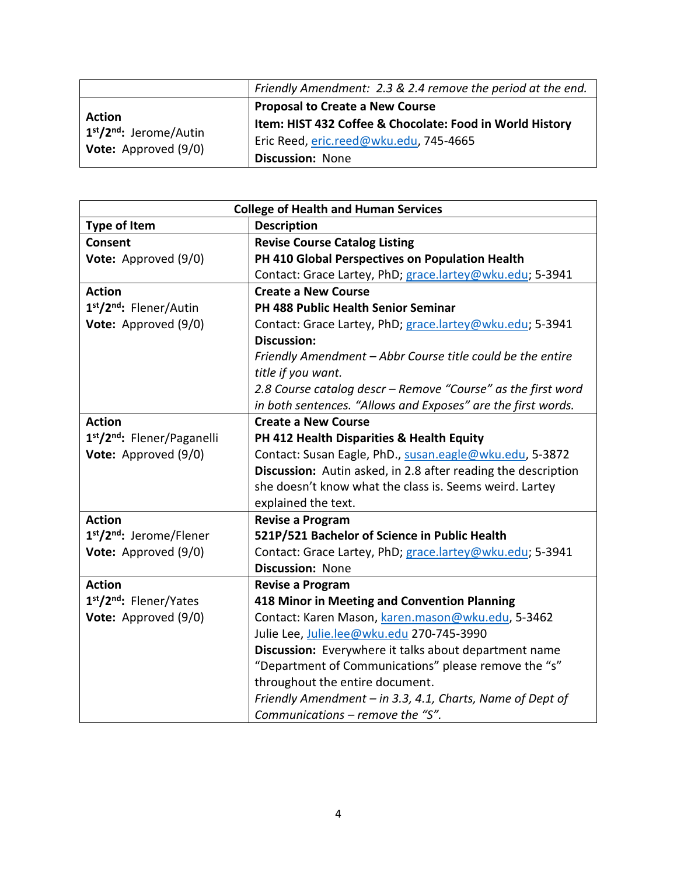|                                                                                                   | Friendly Amendment: 2.3 & 2.4 remove the period at the end. |
|---------------------------------------------------------------------------------------------------|-------------------------------------------------------------|
|                                                                                                   | <b>Proposal to Create a New Course</b>                      |
| <b>Action</b><br>1 <sup>st</sup> /2 <sup>nd</sup> : Jerome/Autin<br><b>Vote:</b> Approved $(9/0)$ | Item: HIST 432 Coffee & Chocolate: Food in World History    |
|                                                                                                   | Eric Reed, eric.reed@wku.edu, 745-4665                      |
|                                                                                                   | <b>Discussion: None</b>                                     |

| <b>College of Health and Human Services</b> |                                                               |
|---------------------------------------------|---------------------------------------------------------------|
| <b>Type of Item</b>                         | <b>Description</b>                                            |
| Consent                                     | <b>Revise Course Catalog Listing</b>                          |
| Vote: Approved (9/0)                        | PH 410 Global Perspectives on Population Health               |
|                                             | Contact: Grace Lartey, PhD; grace.lartey@wku.edu; 5-3941      |
| <b>Action</b>                               | <b>Create a New Course</b>                                    |
| 1st/2nd: Flener/Autin                       | PH 488 Public Health Senior Seminar                           |
| Vote: Approved (9/0)                        | Contact: Grace Lartey, PhD; grace.lartey@wku.edu; 5-3941      |
|                                             | <b>Discussion:</b>                                            |
|                                             | Friendly Amendment - Abbr Course title could be the entire    |
|                                             | title if you want.                                            |
|                                             | 2.8 Course catalog descr - Remove "Course" as the first word  |
|                                             | in both sentences. "Allows and Exposes" are the first words.  |
| <b>Action</b>                               | <b>Create a New Course</b>                                    |
| 1st/2nd: Flener/Paganelli                   | PH 412 Health Disparities & Health Equity                     |
| Vote: Approved (9/0)                        | Contact: Susan Eagle, PhD., susan.eagle@wku.edu, 5-3872       |
|                                             | Discussion: Autin asked, in 2.8 after reading the description |
|                                             | she doesn't know what the class is. Seems weird. Lartey       |
|                                             | explained the text.                                           |
| <b>Action</b>                               | <b>Revise a Program</b>                                       |
| 1st/2nd: Jerome/Flener                      | 521P/521 Bachelor of Science in Public Health                 |
| Vote: Approved (9/0)                        | Contact: Grace Lartey, PhD; grace.lartey@wku.edu; 5-3941      |
|                                             | <b>Discussion: None</b>                                       |
| <b>Action</b>                               | <b>Revise a Program</b>                                       |
| 1st/2nd: Flener/Yates                       | 418 Minor in Meeting and Convention Planning                  |
| Vote: Approved (9/0)                        | Contact: Karen Mason, karen.mason@wku.edu, 5-3462             |
|                                             | Julie Lee, Julie.lee@wku.edu 270-745-3990                     |
|                                             | Discussion: Everywhere it talks about department name         |
|                                             | "Department of Communications" please remove the "s"          |
|                                             | throughout the entire document.                               |
|                                             | Friendly Amendment - in 3.3, 4.1, Charts, Name of Dept of     |
|                                             | Communications – remove the "S".                              |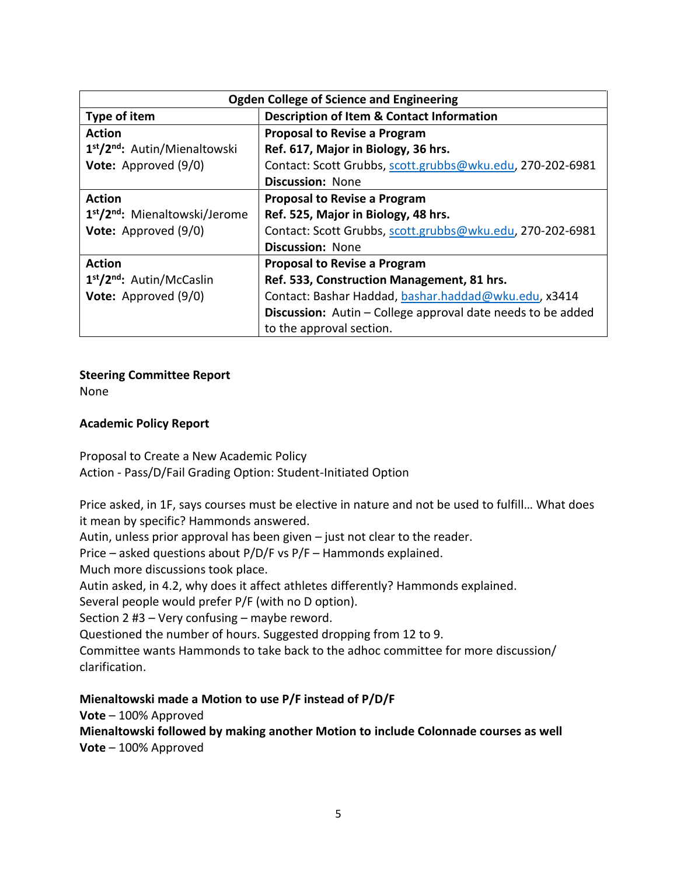| <b>Ogden College of Science and Engineering</b>        |                                                                    |
|--------------------------------------------------------|--------------------------------------------------------------------|
| Type of item                                           | <b>Description of Item &amp; Contact Information</b>               |
| <b>Action</b>                                          | <b>Proposal to Revise a Program</b>                                |
| 1 <sup>st</sup> /2 <sup>nd</sup> : Autin/Mienaltowski  | Ref. 617, Major in Biology, 36 hrs.                                |
| Vote: Approved (9/0)                                   | Contact: Scott Grubbs, scott.grubbs@wku.edu, 270-202-6981          |
|                                                        | <b>Discussion: None</b>                                            |
| <b>Action</b>                                          | <b>Proposal to Revise a Program</b>                                |
| 1 <sup>st</sup> /2 <sup>nd</sup> : Mienaltowski/Jerome | Ref. 525, Major in Biology, 48 hrs.                                |
| Vote: Approved (9/0)                                   | Contact: Scott Grubbs, scott.grubbs@wku.edu, 270-202-6981          |
|                                                        | <b>Discussion: None</b>                                            |
| <b>Action</b>                                          | <b>Proposal to Revise a Program</b>                                |
| 1 <sup>st</sup> /2 <sup>nd</sup> : Autin/McCaslin      | Ref. 533, Construction Management, 81 hrs.                         |
| Vote: Approved (9/0)                                   | Contact: Bashar Haddad, bashar.haddad@wku.edu, x3414               |
|                                                        | <b>Discussion:</b> Autin – College approval date needs to be added |
|                                                        | to the approval section.                                           |

### **Steering Committee Report**

None

### **Academic Policy Report**

Proposal to Create a New Academic Policy Action - Pass/D/Fail Grading Option: Student-Initiated Option

Price asked, in 1F, says courses must be elective in nature and not be used to fulfill… What does it mean by specific? Hammonds answered.

Autin, unless prior approval has been given – just not clear to the reader.

Price – asked questions about P/D/F vs P/F – Hammonds explained.

Much more discussions took place.

Autin asked, in 4.2, why does it affect athletes differently? Hammonds explained.

Several people would prefer P/F (with no D option).

Section 2 #3 – Very confusing – maybe reword.

Questioned the number of hours. Suggested dropping from 12 to 9.

Committee wants Hammonds to take back to the adhoc committee for more discussion/ clarification.

### **Mienaltowski made a Motion to use P/F instead of P/D/F**

**Vote** – 100% Approved

### **Mienaltowski followed by making another Motion to include Colonnade courses as well Vote** – 100% Approved